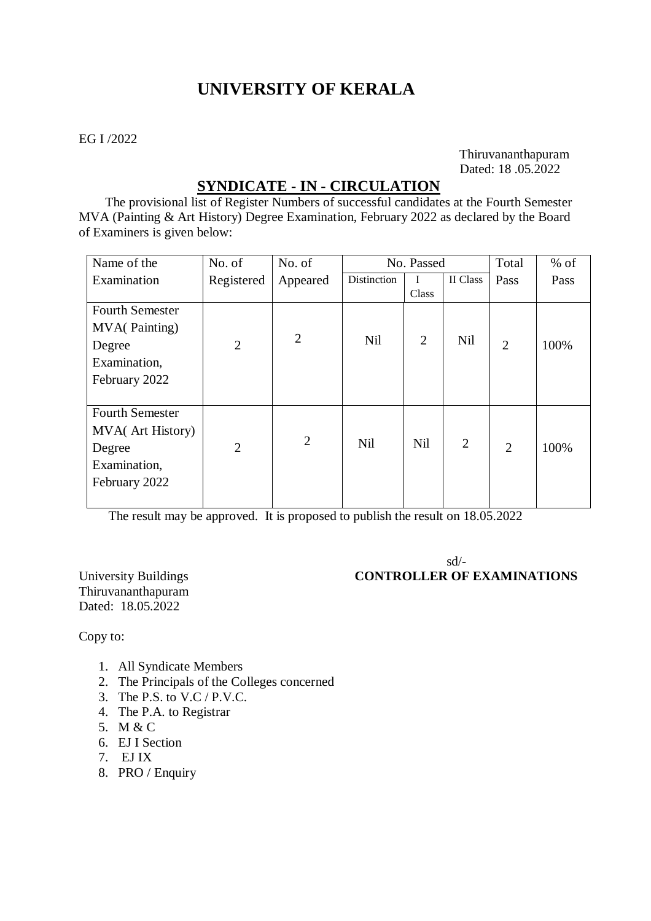# **UNIVERSITY OF KERALA**

### EG I /2022

 Thiruvananthapuram Dated: 18 .05.2022

## **SYNDICATE - IN - CIRCULATION**

 The provisional list of Register Numbers of successful candidates at the Fourth Semester MVA (Painting & Art History) Degree Examination, February 2022 as declared by the Board of Examiners is given below:

| Name of the            | No. of         | No. of         | No. Passed  |                |                | Total          | $%$ of |
|------------------------|----------------|----------------|-------------|----------------|----------------|----------------|--------|
| Examination            | Registered     | Appeared       | Distinction | I.             | II Class       | Pass           | Pass   |
|                        |                |                |             | <b>Class</b>   |                |                |        |
| <b>Fourth Semester</b> |                |                |             |                |                |                |        |
| <b>MVA</b> (Painting)  |                |                |             |                |                |                |        |
| Degree                 | $\overline{2}$ | $\overline{2}$ | Nil         | $\overline{2}$ | Nil            | $\overline{2}$ | 100%   |
| Examination,           |                |                |             |                |                |                |        |
| February 2022          |                |                |             |                |                |                |        |
|                        |                |                |             |                |                |                |        |
| <b>Fourth Semester</b> |                |                |             |                |                |                |        |
| MVA(Art History)       |                |                |             |                |                |                |        |
| Degree                 | $\overline{2}$ | $\overline{2}$ | <b>Nil</b>  | Nil            | $\overline{2}$ | $\overline{2}$ | 100%   |
| Examination,           |                |                |             |                |                |                |        |
| February 2022          |                |                |             |                |                |                |        |
|                        |                |                |             |                |                |                |        |

The result may be approved. It is proposed to publish the result on 18.05.2022

 sd/- University Buildings **CONTROLLER OF EXAMINATIONS** 

Thiruvananthapuram Dated: 18.05.2022

Copy to:

- 1. All Syndicate Members
- 2. The Principals of the Colleges concerned
- 3. The P.S. to V.C / P.V.C.
- 4. The P.A. to Registrar
- 5. M & C
- 6. EJ I Section
- 7. EJ IX
- 8. PRO / Enquiry